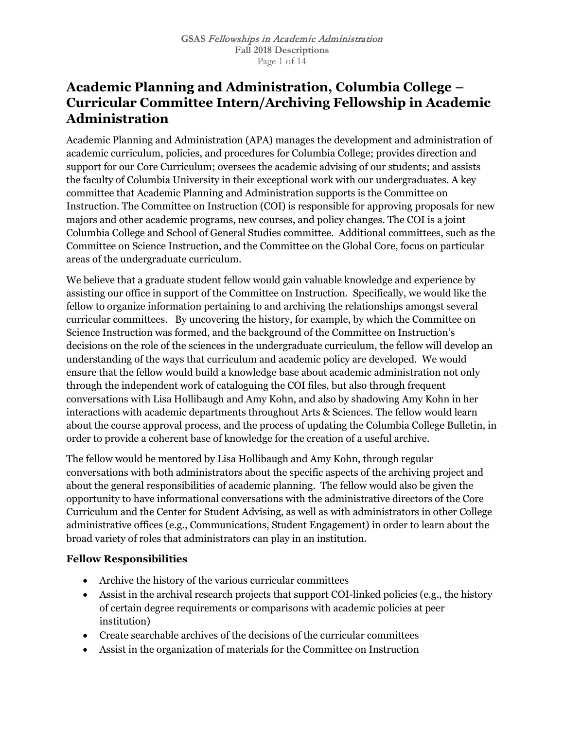# **Academic Planning and Administration, Columbia College – Curricular Committee Intern/Archiving Fellowship in Academic Administration**

Academic Planning and Administration (APA) manages the development and administration of academic curriculum, policies, and procedures for Columbia College; provides direction and support for our Core Curriculum; oversees the academic advising of our students; and assists the faculty of Columbia University in their exceptional work with our undergraduates. A key committee that Academic Planning and Administration supports is the Committee on Instruction. The Committee on Instruction (COI) is responsible for approving proposals for new majors and other academic programs, new courses, and policy changes. The COI is a joint Columbia College and School of General Studies committee. Additional committees, such as the Committee on Science Instruction, and the Committee on the Global Core, focus on particular areas of the undergraduate curriculum.

We believe that a graduate student fellow would gain valuable knowledge and experience by assisting our office in support of the Committee on Instruction. Specifically, we would like the fellow to organize information pertaining to and archiving the relationships amongst several curricular committees. By uncovering the history, for example, by which the Committee on Science Instruction was formed, and the background of the Committee on Instruction's decisions on the role of the sciences in the undergraduate curriculum, the fellow will develop an understanding of the ways that curriculum and academic policy are developed. We would ensure that the fellow would build a knowledge base about academic administration not only through the independent work of cataloguing the COI files, but also through frequent conversations with Lisa Hollibaugh and Amy Kohn, and also by shadowing Amy Kohn in her interactions with academic departments throughout Arts & Sciences. The fellow would learn about the course approval process, and the process of updating the Columbia College Bulletin, in order to provide a coherent base of knowledge for the creation of a useful archive.

The fellow would be mentored by Lisa Hollibaugh and Amy Kohn, through regular conversations with both administrators about the specific aspects of the archiving project and about the general responsibilities of academic planning. The fellow would also be given the opportunity to have informational conversations with the administrative directors of the Core Curriculum and the Center for Student Advising, as well as with administrators in other College administrative offices (e.g., Communications, Student Engagement) in order to learn about the broad variety of roles that administrators can play in an institution.

## **Fellow Responsibilities**

- Archive the history of the various curricular committees
- Assist in the archival research projects that support COI-linked policies (e.g., the history of certain degree requirements or comparisons with academic policies at peer institution)
- Create searchable archives of the decisions of the curricular committees
- Assist in the organization of materials for the Committee on Instruction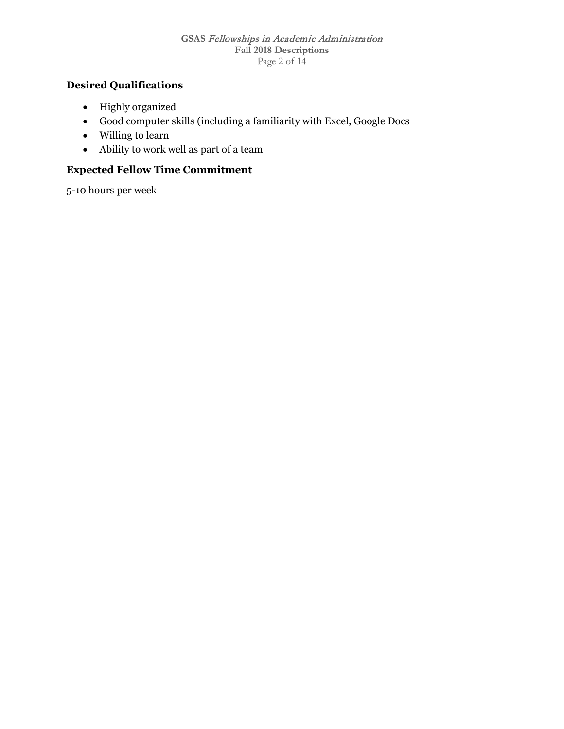#### **GSAS** Fellowships in Academic Administration **Fall 2018 Descriptions** Page 2 of 14

## **Desired Qualifications**

- Highly organized
- Good computer skills (including a familiarity with Excel, Google Docs
- Willing to learn
- Ability to work well as part of a team

## **Expected Fellow Time Commitment**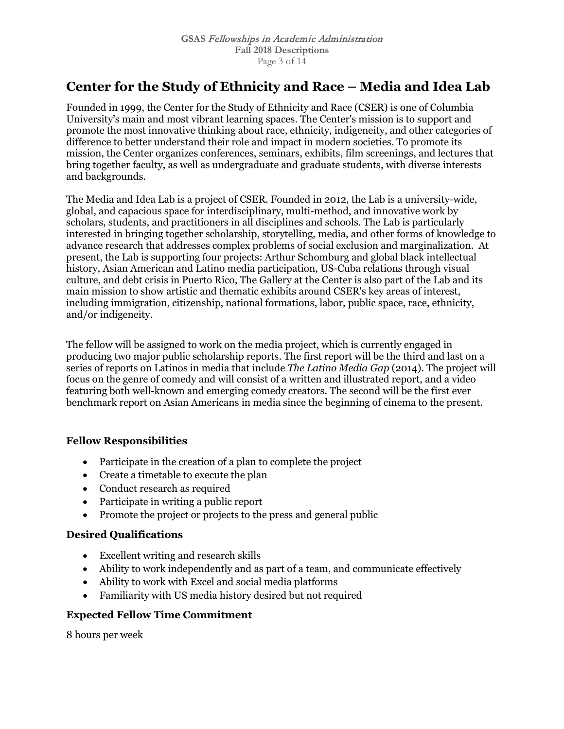# **Center for the Study of Ethnicity and Race – Media and Idea Lab**

Founded in 1999, the Center for the Study of Ethnicity and Race (CSER) is one of Columbia University's main and most vibrant learning spaces. The Center's mission is to support and promote the most innovative thinking about race, ethnicity, indigeneity, and other categories of difference to better understand their role and impact in modern societies. To promote its mission, the Center organizes conferences, seminars, exhibits, film screenings, and lectures that bring together faculty, as well as undergraduate and graduate students, with diverse interests and backgrounds.

The Media and Idea Lab is a project of CSER. Founded in 2012, the Lab is a university-wide, global, and capacious space for interdisciplinary, multi-method, and innovative work by scholars, students, and practitioners in all disciplines and schools. The Lab is particularly interested in bringing together scholarship, storytelling, media, and other forms of knowledge to advance research that addresses complex problems of social exclusion and marginalization. At present, the Lab is supporting four projects: Arthur Schomburg and global black intellectual history, Asian American and Latino media participation, US-Cuba relations through visual culture, and debt crisis in Puerto Rico, The Gallery at the Center is also part of the Lab and its main mission to show artistic and thematic exhibits around CSER's key areas of interest, including immigration, citizenship, national formations, labor, public space, race, ethnicity, and/or indigeneity.

The fellow will be assigned to work on the media project, which is currently engaged in producing two major public scholarship reports. The first report will be the third and last on a series of reports on Latinos in media that include *The Latino Media Gap* (2014). The project will focus on the genre of comedy and will consist of a written and illustrated report, and a video featuring both well-known and emerging comedy creators. The second will be the first ever benchmark report on Asian Americans in media since the beginning of cinema to the present.

## **Fellow Responsibilities**

- Participate in the creation of a plan to complete the project
- Create a timetable to execute the plan
- Conduct research as required
- Participate in writing a public report
- Promote the project or projects to the press and general public

#### **Desired Qualifications**

- Excellent writing and research skills
- Ability to work independently and as part of a team, and communicate effectively
- Ability to work with Excel and social media platforms
- Familiarity with US media history desired but not required

## **Expected Fellow Time Commitment**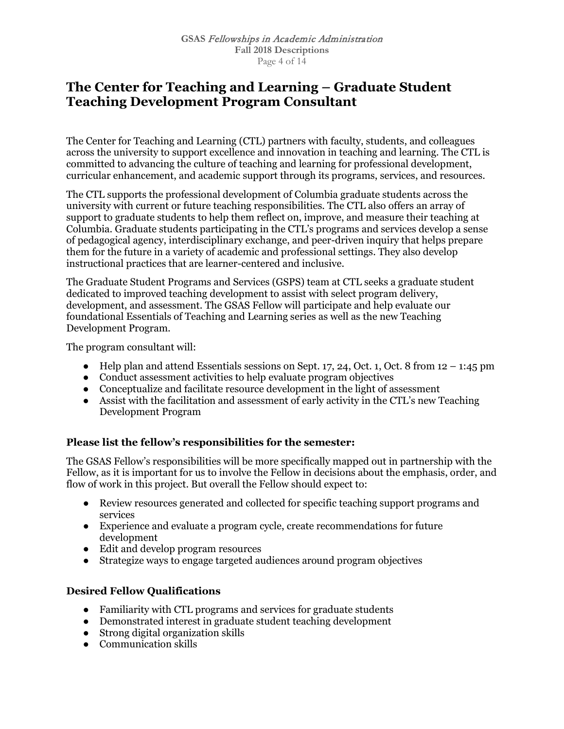## **The Center for Teaching and Learning – Graduate Student Teaching Development Program Consultant**

The Center for Teaching and Learning (CTL) partners with faculty, students, and colleagues across the university to support excellence and innovation in teaching and learning. The CTL is committed to advancing the culture of teaching and learning for professional development, curricular enhancement, and academic support through its programs, services, and resources.

The CTL supports the professional development of Columbia graduate students across the university with current or future teaching responsibilities. The CTL also offers an array of support to graduate students to help them reflect on, improve, and measure their teaching at Columbia. Graduate students participating in the CTL's programs and services develop a sense of pedagogical agency, interdisciplinary exchange, and peer-driven inquiry that helps prepare them for the future in a variety of academic and professional settings. They also develop instructional practices that are learner-centered and inclusive.

The Graduate Student Programs and Services (GSPS) team at CTL seeks a graduate student dedicated to improved teaching development to assist with select program delivery, development, and assessment. The GSAS Fellow will participate and help evaluate our foundational Essentials of Teaching and Learning series as well as the new Teaching Development Program.

The program consultant will:

- Help plan and attend Essentials sessions on Sept. 17, 24, Oct. 1, Oct. 8 from  $12 1:45$  pm
- Conduct assessment activities to help evaluate program objectives
- Conceptualize and facilitate resource development in the light of assessment
- Assist with the facilitation and assessment of early activity in the CTL's new Teaching Development Program

## **Please list the fellow's responsibilities for the semester:**

The GSAS Fellow's responsibilities will be more specifically mapped out in partnership with the Fellow, as it is important for us to involve the Fellow in decisions about the emphasis, order, and flow of work in this project. But overall the Fellow should expect to:

- Review resources generated and collected for specific teaching support programs and services
- Experience and evaluate a program cycle, create recommendations for future development
- Edit and develop program resources
- Strategize ways to engage targeted audiences around program objectives

## **Desired Fellow Qualifications**

- Familiarity with CTL programs and services for graduate students
- Demonstrated interest in graduate student teaching development
- Strong digital organization skills
- Communication skills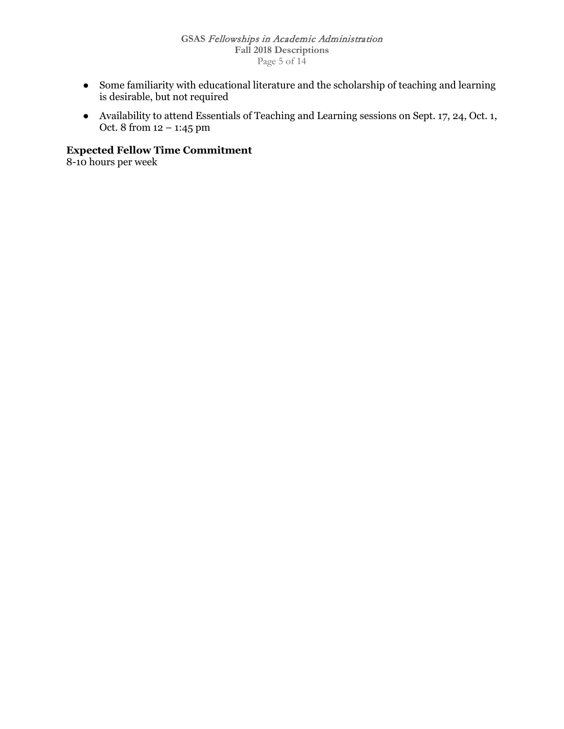- Some familiarity with educational literature and the scholarship of teaching and learning is desirable, but not required
- Availability to attend Essentials of Teaching and Learning sessions on Sept. 17, 24, Oct. 1, Oct. 8 from 12 – 1:45 pm

**Expected Fellow Time Commitment**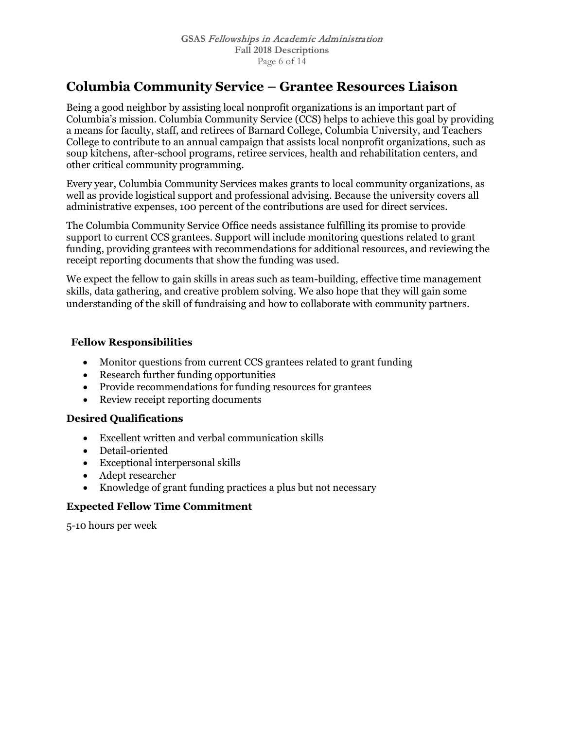## **Columbia Community Service – Grantee Resources Liaison**

Being a good neighbor by assisting local nonprofit organizations is an important part of Columbia's mission. Columbia Community Service (CCS) helps to achieve this goal by providing a means for faculty, staff, and retirees of Barnard College, Columbia University, and Teachers College to contribute to an annual campaign that assists local nonprofit organizations, such as soup kitchens, after-school programs, retiree services, health and rehabilitation centers, and other critical community programming.

Every year, Columbia Community Services makes grants to local community organizations, as well as provide logistical support and professional advising. Because the university covers all administrative expenses, 100 percent of the contributions are used for direct services.

The Columbia Community Service Office needs assistance fulfilling its promise to provide support to current CCS grantees. Support will include monitoring questions related to grant funding, providing grantees with recommendations for additional resources, and reviewing the receipt reporting documents that show the funding was used.

We expect the fellow to gain skills in areas such as team-building, effective time management skills, data gathering, and creative problem solving. We also hope that they will gain some understanding of the skill of fundraising and how to collaborate with community partners.

## **Fellow Responsibilities**

- Monitor questions from current CCS grantees related to grant funding
- Research further funding opportunities
- Provide recommendations for funding resources for grantees
- Review receipt reporting documents

## **Desired Qualifications**

- Excellent written and verbal communication skills
- Detail-oriented
- Exceptional interpersonal skills
- Adept researcher
- Knowledge of grant funding practices a plus but not necessary

## **Expected Fellow Time Commitment**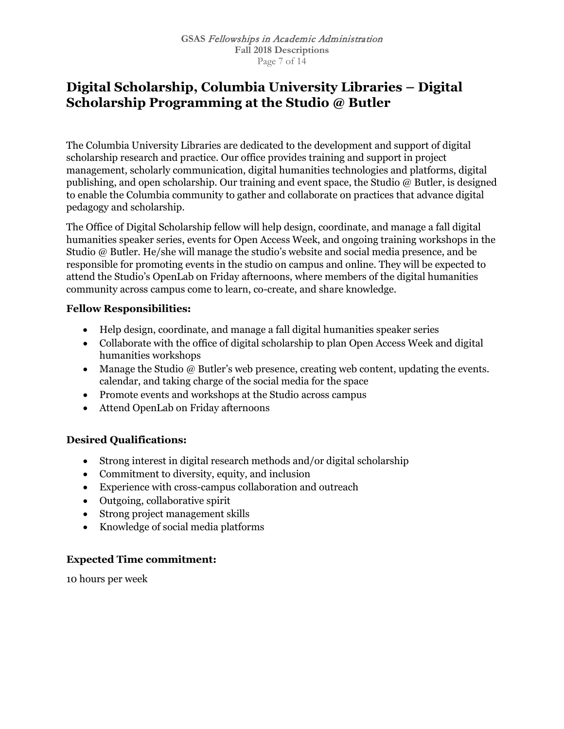## **Digital Scholarship, Columbia University Libraries – Digital Scholarship Programming at the Studio @ Butler**

The Columbia University Libraries are dedicated to the development and support of digital scholarship research and practice. Our office provides training and support in project management, scholarly communication, digital humanities technologies and platforms, digital publishing, and open scholarship. Our training and event space, the Studio @ Butler, is designed to enable the Columbia community to gather and collaborate on practices that advance digital pedagogy and scholarship.

The Office of Digital Scholarship fellow will help design, coordinate, and manage a fall digital humanities speaker series, events for Open Access Week, and ongoing training workshops in the Studio @ Butler. He/she will manage the studio's website and social media presence, and be responsible for promoting events in the studio on campus and online. They will be expected to attend the Studio's OpenLab on Friday afternoons, where members of the digital humanities community across campus come to learn, co-create, and share knowledge.

#### **Fellow Responsibilities:**

- Help design, coordinate, and manage a fall digital humanities speaker series
- Collaborate with the office of digital scholarship to plan Open Access Week and digital humanities workshops
- Manage the Studio  $\omega$  Butler's web presence, creating web content, updating the events. calendar, and taking charge of the social media for the space
- Promote events and workshops at the Studio across campus
- Attend OpenLab on Friday afternoons

## **Desired Qualifications:**

- Strong interest in digital research methods and/or digital scholarship
- Commitment to diversity, equity, and inclusion
- Experience with cross-campus collaboration and outreach
- Outgoing, collaborative spirit
- Strong project management skills
- Knowledge of social media platforms

## **Expected Time commitment:**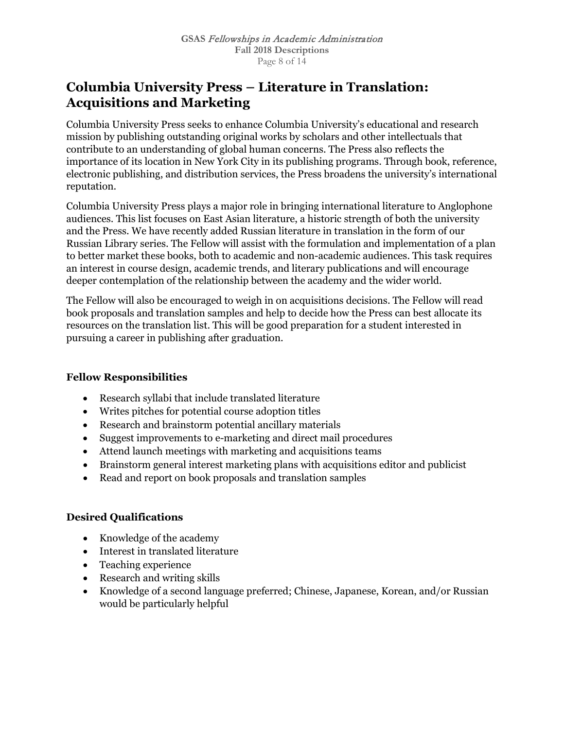# **Columbia University Press – Literature in Translation: Acquisitions and Marketing**

Columbia University Press seeks to enhance Columbia University's educational and research mission by publishing outstanding original works by scholars and other intellectuals that contribute to an understanding of global human concerns. The Press also reflects the importance of its location in New York City in its publishing programs. Through book, reference, electronic publishing, and distribution services, the Press broadens the university's international reputation.

Columbia University Press plays a major role in bringing international literature to Anglophone audiences. This list focuses on East Asian literature, a historic strength of both the university and the Press. We have recently added Russian literature in translation in the form of our Russian Library series. The Fellow will assist with the formulation and implementation of a plan to better market these books, both to academic and non-academic audiences. This task requires an interest in course design, academic trends, and literary publications and will encourage deeper contemplation of the relationship between the academy and the wider world.

The Fellow will also be encouraged to weigh in on acquisitions decisions. The Fellow will read book proposals and translation samples and help to decide how the Press can best allocate its resources on the translation list. This will be good preparation for a student interested in pursuing a career in publishing after graduation.

#### **Fellow Responsibilities**

- Research syllabi that include translated literature
- Writes pitches for potential course adoption titles
- Research and brainstorm potential ancillary materials
- Suggest improvements to e-marketing and direct mail procedures
- Attend launch meetings with marketing and acquisitions teams
- Brainstorm general interest marketing plans with acquisitions editor and publicist
- Read and report on book proposals and translation samples

#### **Desired Qualifications**

- Knowledge of the academy
- Interest in translated literature
- Teaching experience
- Research and writing skills
- Knowledge of a second language preferred; Chinese, Japanese, Korean, and/or Russian would be particularly helpful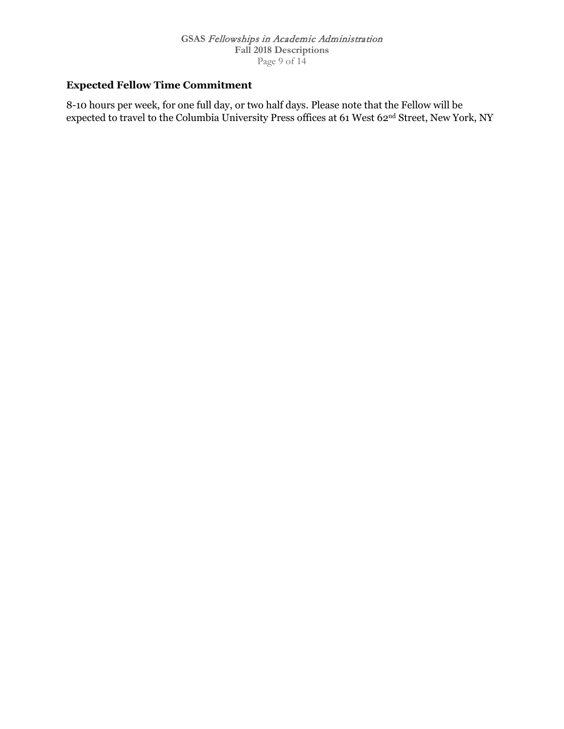## **Expected Fellow Time Commitment**

8-10 hours per week, for one full day, or two half days. Please note that the Fellow will be expected to travel to the Columbia University Press offices at 61 West 62nd Street, New York, NY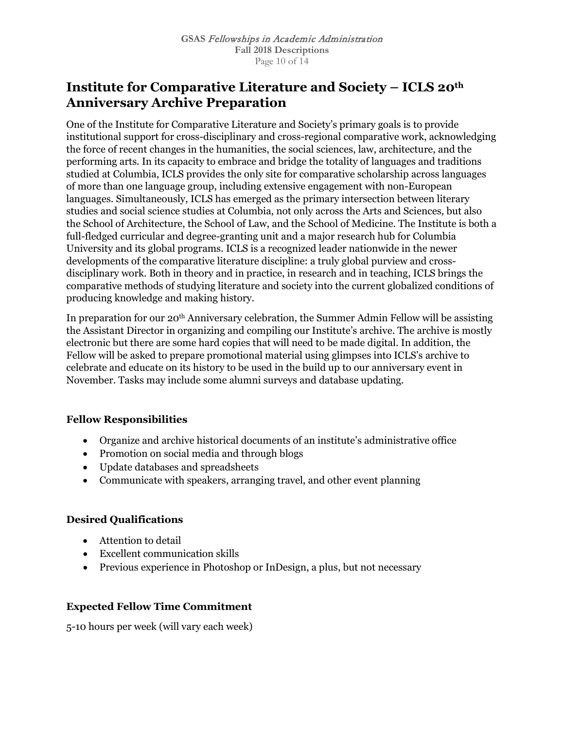# **Institute for Comparative Literature and Society – ICLS 20th Anniversary Archive Preparation**

One of the Institute for Comparative Literature and Society's primary goals is to provide institutional support for cross-disciplinary and cross-regional comparative work, acknowledging the force of recent changes in the humanities, the social sciences, law, architecture, and the performing arts. In its capacity to embrace and bridge the totality of languages and traditions studied at Columbia, ICLS provides the only site for comparative scholarship across languages of more than one language group, including extensive engagement with non-European languages. Simultaneously, ICLS has emerged as the primary intersection between literary studies and social science studies at Columbia, not only across the Arts and Sciences, but also the School of Architecture, the School of Law, and the School of Medicine. The Institute is both a full-fledged curricular and degree-granting unit and a major research hub for Columbia University and its global programs. ICLS is a recognized leader nationwide in the newer developments of the comparative literature discipline: a truly global purview and crossdisciplinary work. Both in theory and in practice, in research and in teaching, ICLS brings the comparative methods of studying literature and society into the current globalized conditions of producing knowledge and making history.

In preparation for our 20th Anniversary celebration, the Summer Admin Fellow will be assisting the Assistant Director in organizing and compiling our Institute's archive. The archive is mostly electronic but there are some hard copies that will need to be made digital. In addition, the Fellow will be asked to prepare promotional material using glimpses into ICLS's archive to celebrate and educate on its history to be used in the build up to our anniversary event in November. Tasks may include some alumni surveys and database updating.

## **Fellow Responsibilities**

- Organize and archive historical documents of an institute's administrative office
- Promotion on social media and through blogs
- Update databases and spreadsheets
- Communicate with speakers, arranging travel, and other event planning

## **Desired Qualifications**

- Attention to detail
- Excellent communication skills
- Previous experience in Photoshop or InDesign, a plus, but not necessary

## **Expected Fellow Time Commitment**

5-10 hours per week (will vary each week)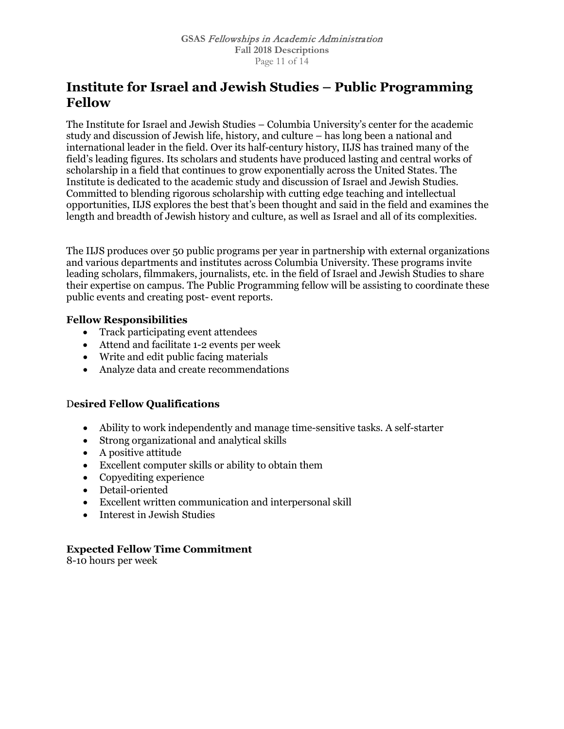# **Institute for Israel and Jewish Studies – Public Programming Fellow**

The Institute for Israel and Jewish Studies – Columbia University's center for the academic study and discussion of Jewish life, history, and culture – has long been a national and international leader in the field. Over its half-century history, IIJS has trained many of the field's leading figures. Its scholars and students have produced lasting and central works of scholarship in a field that continues to grow exponentially across the United States. The Institute is dedicated to the academic study and discussion of Israel and Jewish Studies. Committed to blending rigorous scholarship with cutting edge teaching and intellectual opportunities, IIJS explores the best that's been thought and said in the field and examines the length and breadth of Jewish history and culture, as well as Israel and all of its complexities.

The IIJS produces over 50 public programs per year in partnership with external organizations and various departments and institutes across Columbia University. These programs invite leading scholars, filmmakers, journalists, etc. in the field of Israel and Jewish Studies to share their expertise on campus. The Public Programming fellow will be assisting to coordinate these public events and creating post- event reports.

#### **Fellow Responsibilities**

- Track participating event attendees
- Attend and facilitate 1-2 events per week
- Write and edit public facing materials
- Analyze data and create recommendations

#### D**esired Fellow Qualifications**

- Ability to work independently and manage time-sensitive tasks. A self-starter
- Strong organizational and analytical skills
- A positive attitude
- Excellent computer skills or ability to obtain them
- Copyediting experience
- Detail-oriented
- Excellent written communication and interpersonal skill
- Interest in Jewish Studies

## **Expected Fellow Time Commitment**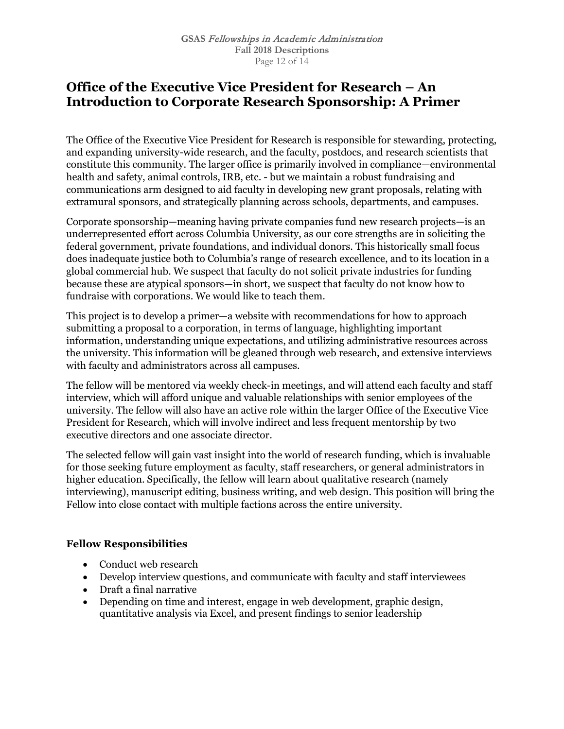## **Office of the Executive Vice President for Research – An Introduction to Corporate Research Sponsorship: A Primer**

The Office of the Executive Vice President for Research is responsible for stewarding, protecting, and expanding university-wide research, and the faculty, postdocs, and research scientists that constitute this community. The larger office is primarily involved in compliance—environmental health and safety, animal controls, IRB, etc. - but we maintain a robust fundraising and communications arm designed to aid faculty in developing new grant proposals, relating with extramural sponsors, and strategically planning across schools, departments, and campuses.

Corporate sponsorship—meaning having private companies fund new research projects—is an underrepresented effort across Columbia University, as our core strengths are in soliciting the federal government, private foundations, and individual donors. This historically small focus does inadequate justice both to Columbia's range of research excellence, and to its location in a global commercial hub. We suspect that faculty do not solicit private industries for funding because these are atypical sponsors—in short, we suspect that faculty do not know how to fundraise with corporations. We would like to teach them.

This project is to develop a primer—a website with recommendations for how to approach submitting a proposal to a corporation, in terms of language, highlighting important information, understanding unique expectations, and utilizing administrative resources across the university. This information will be gleaned through web research, and extensive interviews with faculty and administrators across all campuses.

The fellow will be mentored via weekly check-in meetings, and will attend each faculty and staff interview, which will afford unique and valuable relationships with senior employees of the university. The fellow will also have an active role within the larger Office of the Executive Vice President for Research, which will involve indirect and less frequent mentorship by two executive directors and one associate director.

The selected fellow will gain vast insight into the world of research funding, which is invaluable for those seeking future employment as faculty, staff researchers, or general administrators in higher education. Specifically, the fellow will learn about qualitative research (namely interviewing), manuscript editing, business writing, and web design. This position will bring the Fellow into close contact with multiple factions across the entire university.

## **Fellow Responsibilities**

- Conduct web research
- Develop interview questions, and communicate with faculty and staff interviewees
- Draft a final narrative
- Depending on time and interest, engage in web development, graphic design, quantitative analysis via Excel, and present findings to senior leadership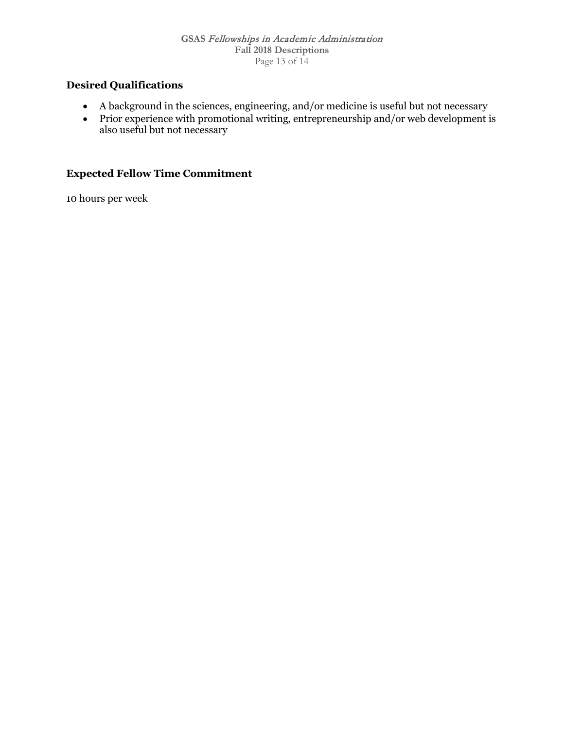## **Desired Qualifications**

- A background in the sciences, engineering, and/or medicine is useful but not necessary
- Prior experience with promotional writing, entrepreneurship and/or web development is also useful but not necessary

## **Expected Fellow Time Commitment**